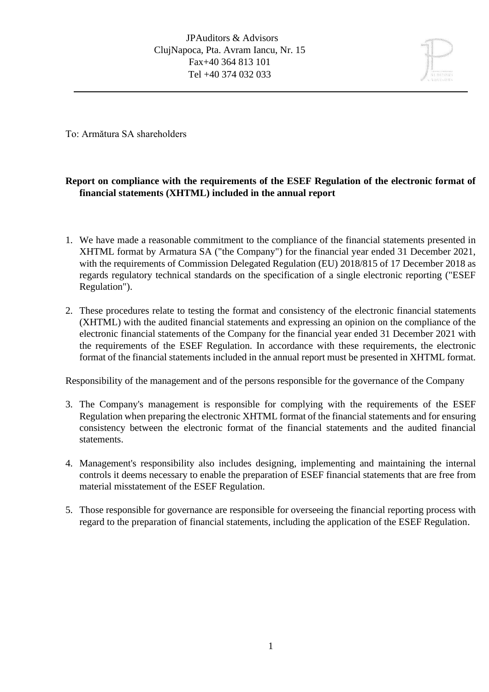

To: Armătura SA shareholders

# **Report on compliance with the requirements of the ESEF Regulation of the electronic format of financial statements (XHTML) included in the annual report**

- 1. We have made a reasonable commitment to the compliance of the financial statements presented in XHTML format by Armatura SA ("the Company") for the financial year ended 31 December 2021, with the requirements of Commission Delegated Regulation (EU) 2018/815 of 17 December 2018 as regards regulatory technical standards on the specification of a single electronic reporting ("ESEF Regulation").
- 2. These procedures relate to testing the format and consistency of the electronic financial statements (XHTML) with the audited financial statements and expressing an opinion on the compliance of the electronic financial statements of the Company for the financial year ended 31 December 2021 with the requirements of the ESEF Regulation. In accordance with these requirements, the electronic format of the financial statements included in the annual report must be presented in XHTML format.

Responsibility of the management and of the persons responsible for the governance of the Company

- 3. The Company's management is responsible for complying with the requirements of the ESEF Regulation when preparing the electronic XHTML format of the financial statements and for ensuring consistency between the electronic format of the financial statements and the audited financial statements.
- 4. Management's responsibility also includes designing, implementing and maintaining the internal controls it deems necessary to enable the preparation of ESEF financial statements that are free from material misstatement of the ESEF Regulation.
- 5. Those responsible for governance are responsible for overseeing the financial reporting process with regard to the preparation of financial statements, including the application of the ESEF Regulation.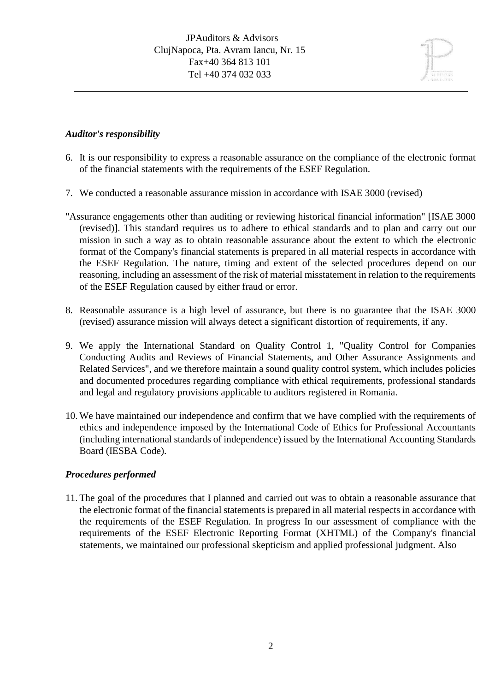## *Auditor's responsibility*

- 6. It is our responsibility to express a reasonable assurance on the compliance of the electronic format of the financial statements with the requirements of the ESEF Regulation.
- 7. We conducted a reasonable assurance mission in accordance with ISAE 3000 (revised)
- "Assurance engagements other than auditing or reviewing historical financial information" [ISAE 3000 (revised)]. This standard requires us to adhere to ethical standards and to plan and carry out our mission in such a way as to obtain reasonable assurance about the extent to which the electronic format of the Company's financial statements is prepared in all material respects in accordance with the ESEF Regulation. The nature, timing and extent of the selected procedures depend on our reasoning, including an assessment of the risk of material misstatement in relation to the requirements of the ESEF Regulation caused by either fraud or error.
- 8. Reasonable assurance is a high level of assurance, but there is no guarantee that the ISAE 3000 (revised) assurance mission will always detect a significant distortion of requirements, if any.
- 9. We apply the International Standard on Quality Control 1, "Quality Control for Companies Conducting Audits and Reviews of Financial Statements, and Other Assurance Assignments and Related Services", and we therefore maintain a sound quality control system, which includes policies and documented procedures regarding compliance with ethical requirements, professional standards and legal and regulatory provisions applicable to auditors registered in Romania.
- 10. We have maintained our independence and confirm that we have complied with the requirements of ethics and independence imposed by the International Code of Ethics for Professional Accountants (including international standards of independence) issued by the International Accounting Standards Board (IESBA Code).

#### *Procedures performed*

11. The goal of the procedures that I planned and carried out was to obtain a reasonable assurance that the electronic format of the financial statements is prepared in all material respects in accordance with the requirements of the ESEF Regulation. In progress In our assessment of compliance with the requirements of the ESEF Electronic Reporting Format (XHTML) of the Company's financial statements, we maintained our professional skepticism and applied professional judgment. Also